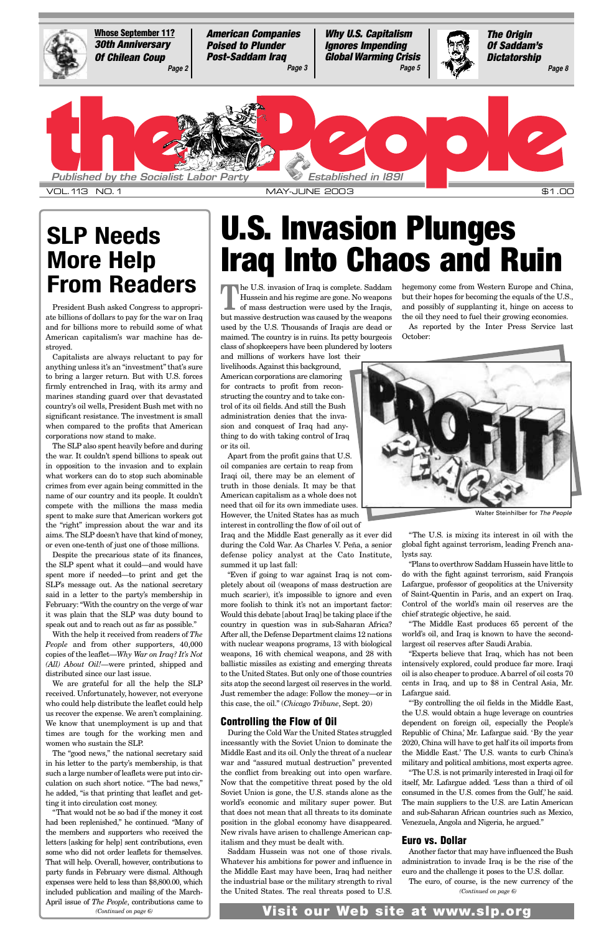The U.S. invasion of Iraq is complete. Saddam<br>Hussein and his regime are gone. No weapons<br>of mass destruction were used by the Iraqis, Hussein and his regime are gone. No weapons but massive destruction was caused by the weapons used by the U.S. Thousands of Iraqis are dead or maimed. The country is in ruins. Its petty bourgeois class of shopkeepers have been plundered by looters

and millions of workers have lost their livelihoods. Against this background, American corporations are clamoring for contracts to profit from reconstructing the country and to take control of its oil fields. And still the Bush administration denies that the invasion and conquest of Iraq had anything to do with taking control of Iraq or its oil.

Apart from the profit gains that U.S. oil companies are certain to reap from Iraqi oil, there may be an element of truth in those denials. It may be that American capitalism as a whole does not need that oil for its own immediate uses. However, the United States has as much interest in controlling the flow of oil out of

Iraq and the Middle East generally as it ever did during the Cold War. As Charles V. Peña, a senior defense policy analyst at the Cato Institute, summed it up last fall:

"Even if going to war against Iraq is not completely about oil (weapons of mass destruction are much scarier), it's impossible to ignore and even more foolish to think it's not an important factor: Would this debate [about Iraq] be taking place if the country in question was in sub-Saharan Africa? After all, the Defense Department claims 12 nations with nuclear weapons programs, 13 with biological weapons, 16 with chemical weapons, and 28 with ballistic missiles as existing and emerging threats to the United States. But only one of those countries sits atop the second largest oil reserves in the world.

Just remember the adage: Follow the money—or in this case, the oil." (*Chicago Tribune*, Sept. 20)

#### **Controlling the Flow of Oil**

During the Cold War the United States struggled incessantly with the Soviet Union to dominate the Middle East and its oil. Only the threat of a nuclear war and "assured mutual destruction" prevented the conflict from breaking out into open warfare. Now that the competitive threat posed by the old Soviet Union is gone, the U.S. stands alone as the world's economic and military super power. But that does not mean that all threats to its dominate position in the global economy have disappeared. New rivals have arisen to challenge American capitalism and they must be dealt with.

Saddam Hussein was not one of those rivals. Whatever his ambitions for power and influence in the Middle East may have been, Iraq had neither the industrial base or the military strength to rival the United States. The real threats posed to U.S.

hegemony come from Western Europe and China, but their hopes for becoming the equals of the U.S., and possibly of supplanting it, hinge on access to the oil they need to fuel their growing economies.

As reported by the Inter Press Service last October:

"The U.S. is mixing its interest in oil with the global fight against terrorism, leading French analysts say.

"Plans to overthrow Saddam Hussein have little to do with the fight against terrorism, said François Lafargue, professor of geopolitics at the University of Saint-Quentin in Paris, and an expert on Iraq. Control of the world's main oil reserves are the chief strategic objective, he said.

"The Middle East produces 65 percent of the world's oil, and Iraq is known to have the secondlargest oil reserves after Saudi Arabia.

"Experts believe that Iraq, which has not been intensively explored, could produce far more. Iraqi oil is also cheaper to produce. A barrel of oil costs 70 cents in Iraq, and up to \$8 in Central Asia, Mr.

Lafargue said.

"'By controlling the oil fields in the Middle East, the U.S. would obtain a huge leverage on countries dependent on foreign oil, especially the People's Republic of China,' Mr. Lafargue said. 'By the year 2020, China will have to get half its oil imports from the Middle East.' The U.S. wants to curb China's military and political ambitions, most experts agree.

"The U.S. is not primarily interested in Iraqi oil for itself, Mr. Lafargue added. 'Less than a third of oil consumed in the U.S. comes from the Gulf,' he said. The main suppliers to the U.S. are Latin American and sub-Saharan African countries such as Mexico, Venezuela, Angola and Nigeria, he argued."

#### **Euro vs. Dollar**

Another factor that may have influenced the Bush administration to invade Iraq is be the rise of the euro and the challenge it poses to the U.S. dollar.

The euro, of course, is the new currency of the

# **U.S. Invasion Plunges Iraq Into Chaos and Ruin**

President Bush asked Congress to appropriate billions of dollars to pay for the war on Iraq and for billions more to rebuild some of what American capitalism's war machine has destroyed.

Capitalists are always reluctant to pay for anything unless it's an "investment" that's sure to bring a larger return. But with U.S. forces firmly entrenched in Iraq, with its army and marines standing guard over that devastated country's oil wells, President Bush met with no significant resistance. The investment is small when compared to the profits that American corporations now stand to make.

The SLP also spent heavily before and during the war. It couldn't spend billions to speak out in opposition to the invasion and to explain what workers can do to stop such abominable crimes from ever again being committed in the name of our country and its people. It couldn't compete with the millions the mass media spent to make sure that American workers got the "right" impression about the war and its aims. The SLP doesn't have that kind of money, or even one-tenth of just one of those millions.

Despite the precarious state of its finances, the SLP spent what it could—and would have spent more if needed—to print and get the SLP's message out. As the national secretary said in a letter to the party's membership in February: "With the country on the verge of war it was plain that the SLP was duty bound to speak out and to reach out as far as possible."

<span id="page-0-0"></span>

With the help it received from readers of *The People* and from other supporters, 40,000 copies of the leaflet—*Why War on Iraq? It's Not (All) About Oil!*—were printed, shipped and distributed since our last issue.

We are grateful for all the help the SLP

received. Unfortunately, however, not everyone who could help distribute the leaflet could help us recover the expense. We aren't complaining. We know that unemployment is up and that times are tough for the working men and women who sustain the SLP.

The "good news," the national secretary said in his letter to the party's membership, is that such a large number of leaflets were put into circulation on such short notice. "The bad news," he added, "is that printing that leaflet and getting it into circulation cost money.

"That would not be so bad if the money it cost had been replenished," he continued. "Many of the members and supporters who received the letters [asking for help] sent contributions, even some who did not order leaflets for themselves. That will help. Overall, however, contributions to party funds in February were dismal. Although expenses were held to less than \$8,800.00, which included publication and mailing of the March-April issue of *The People*, contributions came to

## **SLP Needs More Help From Readers**

*(Continued on page 6)*

*(Continued on page 6)* **Visit our Web site at www.slp.org**



Walter Steinhilber for *The People*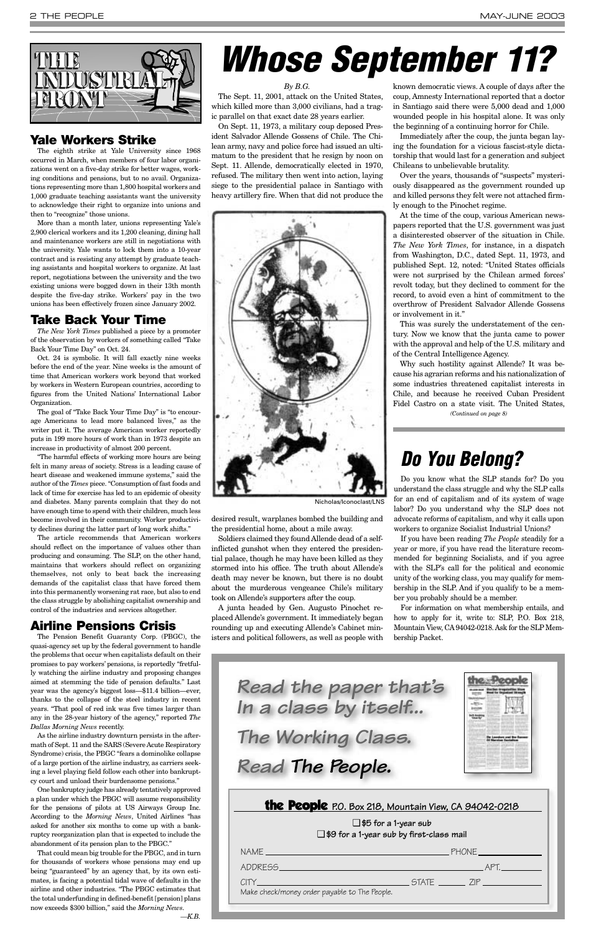*By B.G.*

The Sept. 11, 2001, attack on the United States, which killed more than 3,000 civilians, had a tragic parallel on that exact date 28 years earlier.

On Sept. 11, 1973, a military coup deposed President Salvador Allende Gossens of Chile. The Chilean army, navy and police force had issued an ultimatum to the president that he resign by noon on Sept. 11. Allende, democratically elected in 1970, refused. The military then went into action, laying siege to the presidential palace in Santiago with heavy artillery fire. When that did not produce the

desired result, warplanes bombed the building and the presidential home, about a mile away.

Soldiers claimed they found Allende dead of a selfinflicted gunshot when they entered the presidential palace, though he may have been killed as they stormed into his office. The truth about Allende's death may never be known, but there is no doubt about the murderous vengeance Chile's military took on Allende's supporters after the coup.

A junta headed by Gen. Augusto Pinochet replaced Allende's government. It immediately began rounding up and executing Allende's Cabinet ministers and political followers, as well as people with

known democratic views. A couple of days after the coup, Amnesty International reported that a doctor in Santiago said there were 5,000 dead and 1,000 wounded people in his hospital alone. It was only the beginning of a continuing horror for Chile.

Immediately after the coup, the junta began laying the foundation for a vicious fascist-style dictatorship that would last for a generation and subject Chileans to unbelievable brutality.

Over the years, thousands of "suspects" mysteriously disappeared as the government rounded up and killed persons they felt were not attached firmly enough to the Pinochet regime.

At the time of the coup, various American newspapers reported that the U.S. government was just a disinterested observer of the situation in Chile. *The New York Times*, for instance, in a dispatch from Washington, D.C., dated Sept. 11, 1973, and published Sept. 12, noted: "United States officials were not surprised by the Chilean armed forces' revolt today, but they declined to comment for the record, to avoid even a hint of commitment to the overthrow of President Salvador Allende Gossens or involvement in it."

This was surely the understatement of the century. Now we know that the junta came to power with the approval and help of the U.S. military and of the Central Intelligence Agency.

<span id="page-1-0"></span>

#### **Yale Workers Strike**

The eighth strike at Yale University since 1968 occurred in March, when members of four labor organizations went on a five-day strike for better wages, working conditions and pensions, but to no avail. Organizations representing more than 1,800 hospital workers and 1,000 graduate teaching assistants want the university to acknowledge their right to organize into unions and then to "recognize" those unions.

More than a month later, unions representing Yale's 2,900 clerical workers and its 1,200 cleaning, dining hall and maintenance workers are still in negotiations with the university. Yale wants to lock them into a 10-year contract and is resisting any attempt by graduate teaching assistants and hospital workers to organize. At last report, negotiations between the university and the two existing unions were bogged down in their 13th month despite the five-day strike. Workers' pay in the two unions has been effectively frozen since January 2002.

#### **Take Back Your Time**

*The New York Times* published a piece by a promoter of the observation by workers of something called "Take Back Your Time Day" on Oct. 24.

Oct. 24 is symbolic. It will fall exactly nine weeks before the end of the year. Nine weeks is the amount of time that American workers work beyond that worked by workers in Western European countries, according to figures from the United Nations' International Labor Organization.

The goal of "Take Back Your Time Day" is "to encourage Americans to lead more balanced lives," as the writer put it. The average American worker reportedly puts in 199 more hours of work than in 1973 despite an increase in productivity of almost 200 percent.

"The harmful effects of working more hours are being felt in many areas of society. Stress is a leading cause of heart disease and weakened immune systems," said the author of the *Times* piece. "Consumption of fast foods and lack of time for exercise has led to an epidemic of obesity and diabetes. Many parents complain that they do not have enough time to spend with their children, much less become involved in their community. Worker productivity declines during the latter part of long work shifts."

The article recommends that American workers should reflect on the importance of values other than producing and consuming. The SLP, on the other hand, maintains that workers should reflect on organizing themselves, not only to beat back the increasing demands of the capitalist class that have forced them into this permanently worsening rat race, but also to end the class struggle by abolishing capitalist ownership and control of the industries and services altogether.

Why such hostility against Allende? It was because his agrarian reforms and his nationalization of some industries threatened capitalist interests in Chile, and because he received Cuban President Fidel Castro on a state visit. The United States, *(Continued on page 8)*

#### **Airline Pensions Crisis**

The Pension Benefit Guaranty Corp. (PBGC), the quasi-agency set up by the federal government to handle the problems that occur when capitalists default on their promises to pay workers' pensions, is reportedly "fretfully watching the airline industry and proposing changes aimed at stemming the tide of pension defaults." Last year was the agency's biggest loss—\$11.4 billion—ever, thanks to the collapse of the steel industry in recent years. "That pool of red ink was five times larger than any in the 28-year history of the agency," reported *The Dallas Morning News* recently. As the airline industry downturn persists in the aftermath of Sept. 11 and the SARS (Severe Acute Respiratory Syndrome) crisis, the PBGC "fears a dominolike collapse of a large portion of the airline industry, as carriers seeking a level playing field follow each other into bankruptcy court and unload their burdensome pensions." One bankruptcy judge has already tentatively approved a plan under which the PBGC will assume responsibility for the pensions of pilots at US Airways Group Inc. According to the *Morning News*, United Airlines "has asked for another six months to come up with a bankruptcy reorganization plan that is expected to include the abandonment of its pension plan to the PBGC." That could mean big trouble for the PBGC, and in turn for thousands of workers whose pensions may end up being "guaranteed" by an agency that, by its own estimates, is facing a potential tidal wave of defaults in the airline and other industries. "The PBGC estimates that the total underfunding in defined-benefit [pension] plans now exceeds \$300 billion," said the *Morning News*.

*—K.B.*



❑ **\$5 for a 1-year sub** ❑ **\$9 for a 1-year sub by first-class mail** NAME PHONE ADDRESS APT. CITY STATE ZIP Make check/money order payable to The People.

*Read the paper that's In a class by itself... The Working Class. Read The People.*

# *Whose September 11?*

### *Do You Belong?*

Do you know what the SLP stands for? Do you understand the class struggle and why the SLP calls for an end of capitalism and of its system of wage labor? Do you understand why the SLP does not advocate reforms of capitalism, and why it calls upon workers to organize Socialist Industrial Unions?

If you have been reading *The People* steadily for a year or more, if you have read the literature recommended for beginning Socialists, and if you agree with the SLP's call for the political and economic unity of the working class, you may qualify for membership in the SLP. And if you qualify to be a member you probably should be a member.

For information on what membership entails, and how to apply for it, write to: SLP, P.O. Box 218, Mountain View, CA94042-0218. Ask for the SLP Membership Packet.





Nicholas/Iconoclast/LNS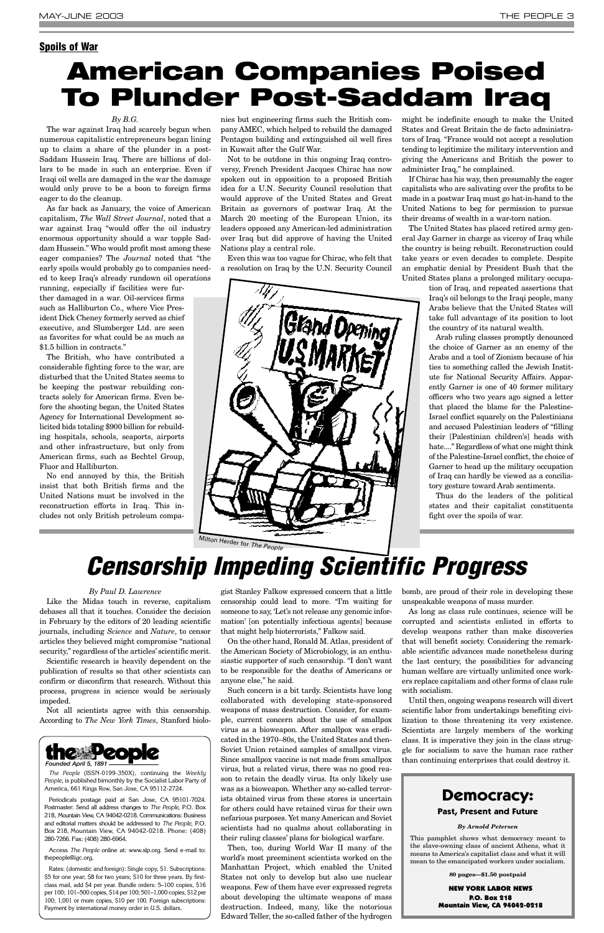#### *By B.G.*

The war against Iraq had scarcely begun when numerous capitalistic entrepreneurs began lining up to claim a share of the plunder in a post-Saddam Hussein Iraq. There are billions of dollars to be made in such an enterprise. Even if Iraqi oil wells are damaged in the war the damage would only prove to be a boon to foreign firms eager to do the cleanup.

As far back as January, the voice of American capitalism, *The Wall Street Journal*, noted that a war against Iraq "would offer the oil industry enormous opportunity should a war topple Saddam Hussein." Who would profit most among these eager companies? The *Journal* noted that "the early spoils would probably go to companies needed to keep Iraq's already rundown oil operations

running, especially if facilities were further damaged in a war. Oil-services firms such as Halliburton Co., where Vice President Dick Cheney formerly served as chief executive, and Slumberger Ltd. are seen as favorites for what could be as much as \$1.5 billion in contracts."

The British, who have contributed a considerable fighting force to the war, are disturbed that the United States seems to be keeping the postwar rebuilding contracts solely for American firms. Even before the shooting began, the United States Agency for International Development solicited bids totaling \$900 billion for rebuilding hospitals, schools, seaports, airports and other infrastructure, but only from American firms, such as Bechtel Group, Fluor and Halliburton.

No end annoyed by this, the British insist that both British firms and the United Nations must be involved in the reconstruction efforts in Iraq. This includes not only British petroleum compa-

nies but engineering firms such the British company AMEC, which helped to rebuild the damaged Pentagon building and extinguished oil well fires in Kuwait after the Gulf War.

Not to be outdone in this ongoing Iraq controversy, French President Jacques Chirac has now spoken out in opposition to a proposed British idea for a U.N. Security Council resolution that would approve of the United States and Great Britain as governors of postwar Iraq. At the March 20 meeting of the European Union, its leaders opposed any American-led administration over Iraq but did approve of having the United Nations play a central role.

Like the Midas touch in reverse, capitalism debases all that it touches. Consider the decision in February by the editors of 20 leading scientific journals, including *Science* and *Nature*, to censor articles they believed might compromise "national security," regardless of the articles' scientific merit.

Even this was too vague for Chirac, who felt that a resolution on Iraq by the U.N. Security Council

might be indefinite enough to make the United States and Great Britain the de facto administrators of Iraq. "France would not accept a resolution tending to legitimize the military intervention and giving the Americans and British the power to administer Iraq," he complained.

If Chirac has his way, then presumably the eager capitalists who are salivating over the profits to be made in a postwar Iraq must go hat-in-hand to the United Nations to beg for permission to pursue their dreams of wealth in a war-torn nation.

The United States has placed retired army general Jay Garner in charge as viceroy of Iraq while the country is being rebuilt. Reconstruction could take years or even decades to complete. Despite an emphatic denial by President Bush that the United States plans a prolonged military occupa-

tion of Iraq, and repeated assertions that Iraq's oil belongs to the Iraqi people, many Arabs believe that the United States will take full advantage of its position to loot the country of its natural wealth.

Arab ruling classes promptly denounced the choice of Garner as an enemy of the Arabs and a tool of Zionism because of his ties to something called the Jewish Institute for National Security Affairs. Apparently Garner is one of 40 former military officers who two years ago signed a letter that placed the blame for the Palestine-Israel conflict squarely on the Palestinians and accused Palestinian leaders of "filling their [Palestinian children's] heads with hate...." Regardless of what one might think of the Palestine-Israel conflict, the choice of Garner to head up the military occupation of Iraq can hardly be viewed as a conciliatory gesture toward Arab sentiments.

Thus do the leaders of the political states and their capitalist constituents fight over the spoils of war.

#### <span id="page-2-0"></span>**Spoils of War**

## **American Companies Poised To Plunder Post-Saddam Iraq**

#### *By Paul D. Lawrence*

Scientific research is heavily dependent on the publication of results so that other scientists can confirm or disconfirm that research. Without this

process, progress in science would be seriously impeded.

Not all scientists agree with this censorship. According to *The New York Times*, Stanford biolo-

gist Stanley Falkow expressed concern that a little censorship could lead to more. "I'm waiting for someone to say, 'Let's not release any genomic information' [on potentially infectious agents] because that might help bioterrorists," Falkow said.

On the other hand, Ronald M. Atlas, president of the American Society of Microbiology, is an enthusiastic supporter of such censorship. "I don't want to be responsible for the deaths of Americans or anyone else," he said. Such concern is a bit tardy. Scientists have long collaborated with developing state-sponsored weapons of mass destruction. Consider, for example, current concern about the use of smallpox virus as a bioweapon. After smallpox was eradicated in the 1970–80s, the United States and then-Soviet Union retained samples of smallpox virus. Since smallpox vaccine is not made from smallpox virus, but a related virus, there was no good reason to retain the deadly virus. Its only likely use was as a bioweapon. Whether any so-called terrorists obtained virus from these stores is uncertain for others could have retained virus for their own nefarious purposes. Yet many American and Soviet scientists had no qualms about collaborating in their ruling classes' plans for biological warfare. Then, too, during World War II many of the world's most preeminent scientists worked on the Manhattan Project, which enabled the United States not only to develop but also use nuclear weapons. Few of them have ever expressed regrets about developing the ultimate weapons of mass destruction. Indeed, many, like the notorious Edward Teller, the so-called father of the hydrogen bomb, are proud of their role in developing these unspeakable weapons of mass murder.

As long as class rule continues, science will be corrupted and scientists enlisted in efforts to develop weapons rather than make discoveries that will benefit society. Considering the remarkable scientific advances made nonetheless during the last century, the possibilities for advancing human welfare are virtually unlimited once workers replace capitalism and other forms of class rule

with socialism.

Until then, ongoing weapons research will divert scientific labor from undertakings benefiting civilization to those threatening its very existence. Scientists are largely members of the working class. It is imperative they join in the class struggle for socialism to save the human race rather than continuing enterprises that could destroy it.



*The People* (ISSN-0199-350X), continuing the *Weekly People*, is published bimonthly by the Socialist Labor Party of America, 661 Kings Row, San Jose, CA 95112-2724.

Periodicals postage paid at San Jose, CA 95101-7024. Postmaster: Send all address changes to *The People*, P.O. Box 218, Mountain View, CA 94042-0218. Communications: Business and editorial matters should be addressed to *The People*, P.O. Box 218, Mountain View, CA 94042-0218. Phone: (408) 280-7266. Fax: (408) 280-6964.

Access *The People* online at: www.slp.org. Send e-mail to: thepeople@igc.org.

Rates: (domestic and foreign): Single copy, \$1. Subscriptions: \$5 for one year; \$8 for two years; \$10 for three years. By firstclass mail, add \$4 per year. Bundle orders: 5–100 copies, \$16 per 100; 101–500 copies, \$14 per 100; 501–1,000 copies, \$12 per 100; 1,001 or more copies, \$10 per 100. Foreign subscriptions: Payment by international money order in U.S. dollars.

## *Censorship Impeding Scientific Progress*

#### **Democracy:**

#### **Past, Present and Future**

#### *By Arnold Petersen*

This pamphlet shows what democracy meant to the slave-owning class of ancient Athens, what it means to America's capitalist class and what it will mean to the emancipated workers under socialism.

**80 pages—\$1.50 postpaid**

NEW YORK LABOR NEWS P.O. Box 218 Mountain View, CA 94042-0218



Milton Herder for *The People*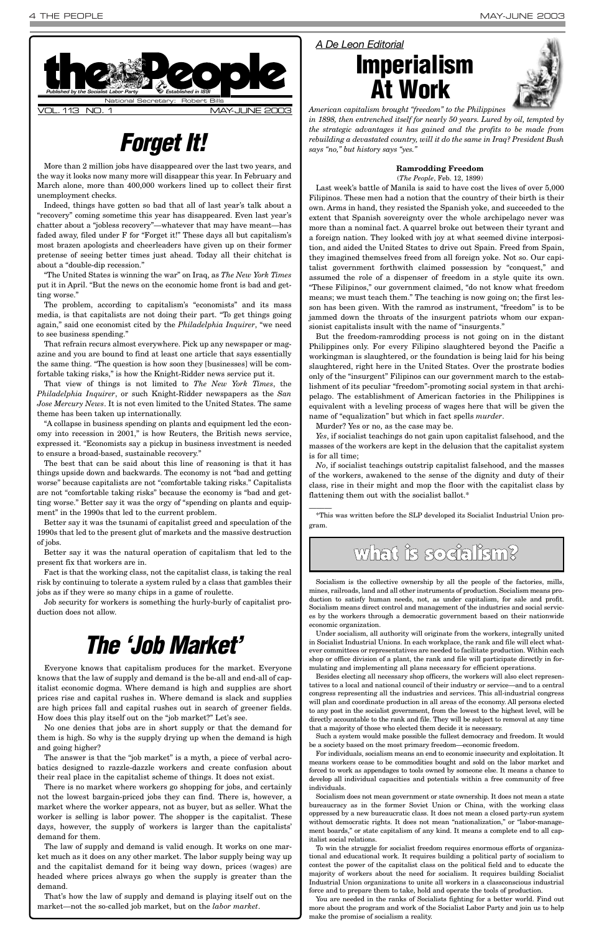More than 2 million jobs have disappeared over the last two years, and the way it looks now many more will disappear this year. In February and March alone, more than 400,000 workers lined up to collect their first unemployment checks.

Indeed, things have gotten so bad that all of last year's talk about a "recovery" coming sometime this year has disappeared. Even last year's chatter about a "jobless recovery"—whatever that may have meant—has faded away, filed under F for "Forget it!" These days all but capitalism's most brazen apologists and cheerleaders have given up on their former pretense of seeing better times just ahead. Today all their chitchat is about a "double-dip recession."

"The United States is winning the war" on Iraq, as *The New York Times* put it in April. "But the news on the economic home front is bad and getting worse."

The problem, according to capitalism's "economists" and its mass media, is that capitalists are not doing their part. "To get things going again," said one economist cited by the *Philadelphia Inquirer*, "we need to see business spending."

That refrain recurs almost everywhere. Pick up any newspaper or magazine and you are bound to find at least one article that says essentially the same thing. "The question is how soon they [businesses] will be comfortable taking risks," is how the Knight-Ridder news service put it.

Last week's battle of Manila is said to have cost the lives of over 5,000 Filipinos. These men had a notion that the country of their birth is their own. Arms in hand, they resisted the Spanish yoke, and succeeded to the extent that Spanish sovereignty over the whole archipelago never was more than a nominal fact. A quarrel broke out between their tyrant and a foreign nation. They looked with joy at what seemed divine interposition, and aided the United States to drive out Spain. Freed from Spain, they imagined themselves freed from all foreign yoke. Not so. Our capitalist government forthwith claimed possession by "conquest," and assumed the role of a dispenser of freedom in a style quite its own. "These Filipinos," our government claimed, "do not know what freedom means; we must teach them." The teaching is now going on; the first lesson has been given. With the ramrod as instrument, "freedom" is to be jammed down the throats of the insurgent patriots whom our expansionist capitalists insult with the name of "insurgents."

That view of things is not limited to *The New York Times*, the *Philadelphia Inquirer*, or such Knight-Ridder newspapers as the *San Jose Mercury News*. It is not even limited to the United States. The same theme has been taken up internationally.

"A collapse in business spending on plants and equipment led the economy into recession in 2001," is how Reuters, the British news service, expressed it. "Economists say a pickup in business investment is needed to ensure a broad-based, sustainable recovery."

The best that can be said about this line of reasoning is that it has things upside down and backwards. The economy is not "bad and getting worse" because capitalists are not "comfortable taking risks." Capitalists are not "comfortable taking risks" because the economy is "bad and getting worse." Better say it was the orgy of "spending on plants and equipment" in the 1990s that led to the current problem.

Better say it was the tsunami of capitalist greed and speculation of the 1990s that led to the present glut of markets and the massive destruction of jobs.

Better say it was the natural operation of capitalism that led to the present fix that workers are in.



Fact is that the working class, not the capitalist class, is taking the real risk by continuing to tolerate a system ruled by a class that gambles their jobs as if they were so many chips in a game of roulette.

Job security for workers is something the hurly-burly of capitalist production does not allow.

#### **Ramrodding Freedom**

(*The People*, Feb. 12, 1899)

But the freedom-ramrodding process is not going on in the distant Philippines only. For every Filipino slaughtered beyond the Pacific a workingman is slaughtered, or the foundation is being laid for his being slaughtered, right here in the United States. Over the prostrate bodies only of the "insurgent" Filipinos can our government march to the establishment of its peculiar "freedom"-promoting social system in that archipelago. The establishment of American factories in the Philippines is equivalent with a leveling process of wages here that will be given the name of "equalization" but which in fact spells *murder*.

Murder? Yes or no, as the case may be.

 $\overline{\phantom{a}}$ 

The answer is that the "job market" is a myth, a piece of verbal acrobatics designed to razzle-dazzle workers and create confusion about their real place in the capitalist scheme of things. It does not exist.

*Yes*, if socialist teachings do not gain upon capitalist falsehood, and the masses of the workers are kept in the delusion that the capitalist system is for all time;

*No*, if socialist teachings outstrip capitalist falsehood, and the masses of the workers, awakened to the sense of the dignity and duty of their class, rise in their might and mop the floor with the capitalist class by flattening them out with the socialist ballot.\*

\*This was written before the SLP developed its Socialist Industrial Union program.

## *Forget It!*

### *A De Leon Editorial*

**Imperialism At Work**



*American capitalism brought "freedom" to the Philippines in 1898, then entrenched itself for nearly 50 years. Lured by oil, tempted by the strategic advantages it has gained and the profits to be made from rebuilding a devastated country, will it do the same in Iraq? President Bush says "no," but history says "yes."*

### what is socialism?

Socialism is the collective ownership by all the people of the factories, mills, mines, railroads, land and all other instruments of production. Socialism means production to satisfy human needs, not, as under capitalism, for sale and profit. Socialism means direct control and management of the industries and social services by the workers through a democratic government based on their nationwide economic organization.

Under socialism, all authority will originate from the workers, integrally united in Socialist Industrial Unions. In each workplace, the rank and file will elect whatever committees or representatives are needed to facilitate production. Within each shop or office division of a plant, the rank and file will participate directly in formulating and implementing all plans necessary for efficient operations.

Besides electing all necessary shop officers, the workers will also elect representives to a local and national council of their industry or service—and to a central congress representing all the industries and services. This all-industrial congress will plan and coordinate production in all areas of the economy. All persons elected to any post in the socialist government, from the lowest to the highest level, will be directly accountable to the rank and file. They will be subject to removal at any time that a majority of those who elected them decide it is necessary.

Such a system would make possible the fullest democracy and freedom. It would be a society based on the most primary freedom—economic freedom.

For individuals, socialism means an end to economic insecurity and exploitation. It means workers cease to be commodities bought and sold on the labor market and forced to work as appendages to tools owned by someone else. It means a chance to develop all individual capacities and potentials within a free community of free individuals.

Socialism does not mean government or state ownership. It does not mean a state bureaucracy as in the former Soviet Union or China, with the working class oppressed by a new bureaucratic class. It does not mean a closed party-run system without democratic rights. It does not mean "nationalization," or "labor-management boards," or state capitalism of any kind. It means a complete end to all capitalist social relations.

To win the struggle for socialist freedom requires enormous efforts of organizational and educational work. It requires building a political party of socialism to contest the power of the capitalist class on the political field and to educate the majority of workers about the need for socialism. It requires building Socialist Industrial Union organizations to unite all workers in a classconscious industrial force and to prepare them to take, hold and operate the tools of production.

You are needed in the ranks of Socialists fighting for a better world. Find out more about the program and work of the Socialist Labor Party and join us to help make the promise of socialism a reality.

Everyone knows that capitalism produces for the market. Everyone knows that the law of supply and demand is the be-all and end-all of capitalist economic dogma. Where demand is high and supplies are short prices rise and capital rushes in. Where demand is slack and supplies are high prices fall and capital rushes out in search of greener fields. How does this play itself out on the "job market?" Let's see.

No one denies that jobs are in short supply or that the demand for them is high. So why is the supply drying up when the demand is high and going higher?

There is no market where workers go shopping for jobs, and certainly not the lowest bargain-priced jobs they can find. There is, however, a market where the worker appears, not as buyer, but as seller. What the worker is selling is labor power. The shopper is the capitalist. These days, however, the supply of workers is larger than the capitalists' demand for them.

The law of supply and demand is valid enough. It works on one market much as it does on any other market. The labor supply being way up and the capitalist demand for it being way down, prices (wages) are headed where prices always go when the supply is greater than the demand.

That's how the law of supply and demand is playing itself out on the market—not the so-called job market, but on the *labor market*.

## *The 'Job Market'*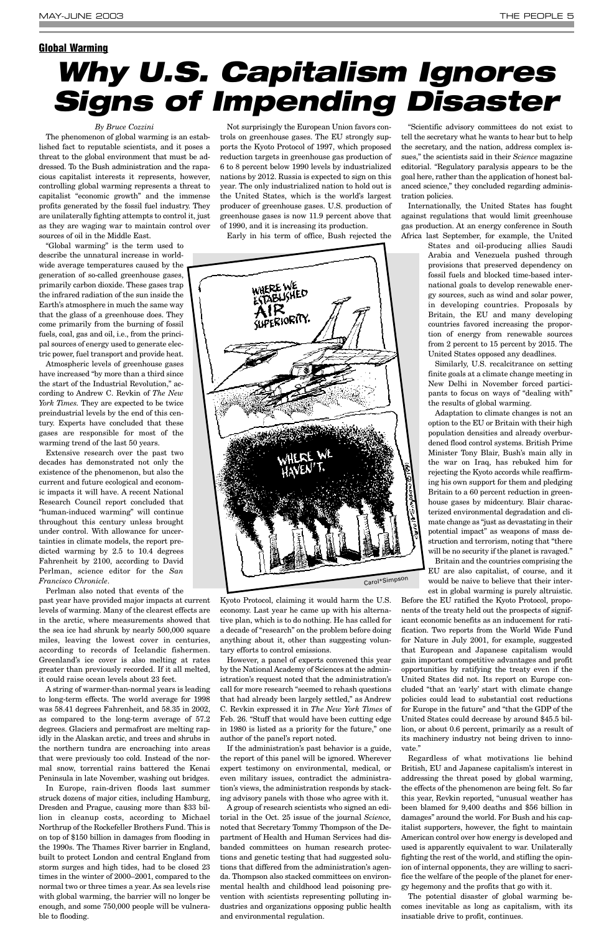#### *By Bruce Cozzini*

The phenomenon of global warming is an established fact to reputable scientists, and it poses a threat to the global environment that must be addressed. To the Bush administration and the rapacious capitalist interests it represents, however, controlling global warming represents a threat to capitalist "economic growth" and the immense profits generated by the fossil fuel industry. They are unilaterally fighting attempts to control it, just as they are waging war to maintain control over sources of oil in the Middle East.

"Global warming" is the term used to describe the unnatural increase in worldwide average temperatures caused by the generation of so-called greenhouse gases, primarily carbon dioxide. These gases trap the infrared radiation of the sun inside the Earth's atmosphere in much the same way that the glass of a greenhouse does. They come primarily from the burning of fossil fuels, coal, gas and oil, i.e., from the principal sources of energy used to generate electric power, fuel transport and provide heat.

Atmospheric levels of greenhouse gases have increased "by more than a third since the start of the Industrial Revolution," according to Andrew C. Revkin of *The New York Times.* They are expected to be twice preindustrial levels by the end of this century. Experts have concluded that these gases are responsible for most of the warming trend of the last 50 years.

Extensive research over the past two decades has demonstrated not only the existence of the phenomenon, but also the current and future ecological and economic impacts it will have. A recent National Research Council report concluded that "human-induced warming" will continue throughout this century unless brought under control. With allowance for uncertainties in climate models, the report predicted warming by 2.5 to 10.4 degrees Fahrenheit by 2100, according to David Perlman, science editor for the *San Francisco Chronicle*.

Perlman also noted that events of the

past year have provided major impacts at current levels of warming. Many of the clearest effects are in the arctic, where measurements showed that the sea ice had shrunk by nearly 500,000 square miles, leaving the lowest cover in centuries, according to records of Icelandic fishermen. Greenland's ice cover is also melting at rates greater than previously recorded. If it all melted, it could raise ocean levels about 23 feet.

A string of warmer-than-normal years is leading to long-term effects. The world average for 1998 was 58.41 degrees Fahrenheit, and 58.35 in 2002, as compared to the long-term average of 57.2 degrees. Glaciers and permafrost are melting rapidly in the Alaskan arctic, and trees and shrubs in the northern tundra are encroaching into areas that were previously too cold. Instead of the normal snow, torrential rains battered the Kenai Peninsula in late November, washing out bridges.

In Europe, rain-driven floods last summer struck dozens of major cities, including Hamburg, Dresden and Prague, causing more than \$33 billion in cleanup costs, according to Michael Northrup of the Rockefeller Brothers Fund. This is on top of \$150 billion in damages from flooding in the 1990s. The Thames River barrier in England, built to protect London and central England from storm surges and high tides, had to be closed 23 times in the winter of 2000–2001, compared to the normal two or three times a year. As sea levels rise with global warming, the barrier will no longer be enough, and some 750,000 people will be vulnerable to flooding.

Adaptation to climate changes is not an option to the EU or Britain with their high population densities and already overburdened flood control systems. British Prime Minister Tony Blair, Bush's main ally in the war on Iraq, has rebuked him for rejecting the Kyoto accords while reaffirming his own support for them and pledging Britain to a 60 percent reduction in greenhouse gases by midcentury. Blair characterized environmental degradation and climate change as "just as devastating in their potential impact" as weapons of mass destruction and terrorism, noting that "there will be no security if the planet is ravaged."

Not surprisingly the European Union favors controls on greenhouse gases. The EU strongly supports the Kyoto Protocol of 1997, which proposed reduction targets in greenhouse gas production of 6 to 8 percent below 1990 levels by industrialized nations by 2012. Russia is expected to sign on this year. The only industrialized nation to hold out is the United States, which is the world's largest producer of greenhouse gases. U.S. production of greenhouse gases is now 11.9 percent above that of 1990, and it is increasing its production.

Early in his term of office, Bush rejected the

Kyoto Protocol, claiming it would harm the U.S. economy. Last year he came up with his alternative plan, which is to do nothing. He has called for a decade of "research" on the problem before doing anything about it, other than suggesting voluntary efforts to control emissions.

However, a panel of experts convened this year by the National Academy of Sciences at the administration's request noted that the administration's call for more research "seemed to rehash questions that had already been largely settled," as Andrew C. Revkin expressed it in *The New York Times* of Feb. 26. "Stuff that would have been cutting edge in 1980 is listed as a priority for the future," one author of the panel's report noted. If the administration's past behavior is a guide, the report of this panel will be ignored. Wherever expert testimony on environmental, medical, or even military issues, contradict the administration's views, the administration responds by stacking advisory panels with those who agree with it. A group of research scientists who signed an editorial in the Oct. 25 issue of the journal *Science,* noted that Secretary Tommy Thompson of the Department of Health and Human Services had disbanded committees on human research protections and genetic testing that had suggested solutions that differed from the administration's agenda. Thompson also stacked committees on environmental health and childhood lead poisoning prevention with scientists representing polluting industries and organizations opposing public health and environmental regulation.

"Scientific advisory committees do not exist to tell the secretary what he wants to hear but to help the secretary, and the nation, address complex issues," the scientists said in their *Science* magazine editorial. "Regulatory paralysis appears to be the goal here, rather than the application of honest balanced science," they concluded regarding administration policies.

Internationally, the United States has fought against regulations that would limit greenhouse gas production. At an energy conference in South Africa last September, for example, the United

> States and oil-producing allies Saudi Arabia and Venezuela pushed through provisions that preserved dependency on fossil fuels and blocked time-based international goals to develop renewable energy sources, such as wind and solar power, in developing countries. Proposals by Britain, the EU and many developing countries favored increasing the proportion of energy from renewable sources from 2 percent to 15 percent by 2015. The United States opposed any deadlines.

> Similarly, U.S. recalcitrance on setting finite goals at a climate change meeting in New Delhi in November forced participants to focus on ways of "dealing with" the results of global warming.

> Britain and the countries comprising the EU are also capitalist, of course, and it would be naive to believe that their interest in global warming is purely altruistic.

Before the EU ratified the Kyoto Protocol, proponents of the treaty held out the prospects of significant economic benefits as an inducement for ratification. Two reports from the World Wide Fund for Nature in July 2001, for example, suggested that European and Japanese capitalism would gain important competitive advantages and profit opportunities by ratifying the treaty even if the United States did not. Its report on Europe concluded "that an 'early' start with climate change policies could lead to substantial cost reductions for Europe in the future" and "that the GDP of the United States could decrease by around \$45.5 billion, or about 0.6 percent, primarily as a result of its machinery industry not being driven to innovate." Regardless of what motivations lie behind British, EU and Japanese capitalism's interest in addressing the threat posed by global warming, the effects of the phenomenon are being felt. So far this year, Revkin reported, "unusual weather has been blamed for 9,400 deaths and \$56 billion in damages" around the world. For Bush and his capitalist supporters, however, the fight to maintain American control over how energy is developed and used is apparently equivalent to war. Unilaterally fighting the rest of the world, and stifling the opinion of internal opponents, they are willing to sacrifice the welfare of the people of the planet for energy hegemony and the profits that go with it.

The potential disaster of global warming becomes inevitable as long as capitalism, with its insatiable drive to profit, continues.

#### <span id="page-4-0"></span>**Global Warming**

# *Why U.S. Capitalism Ignores Signs of Impending Disaster*

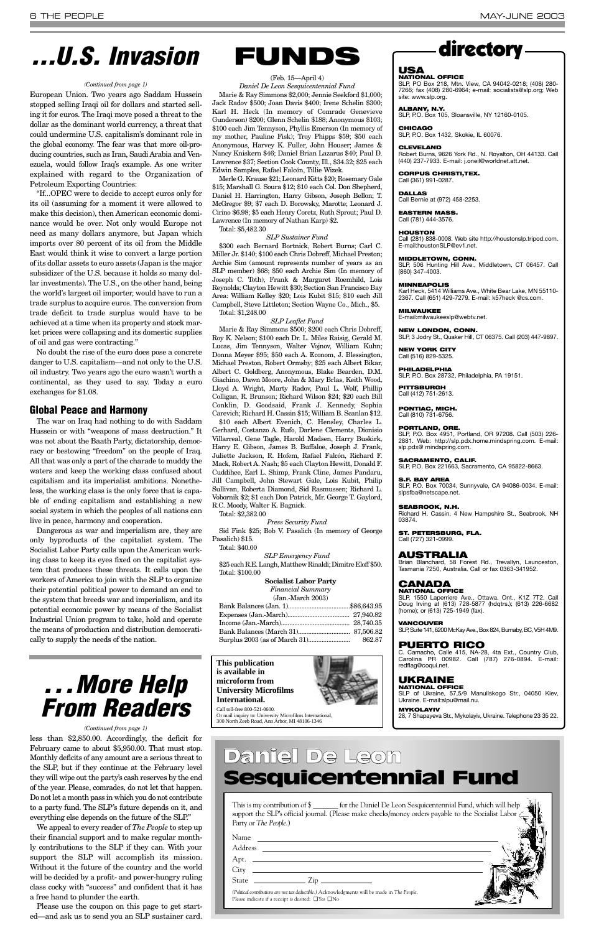### *. . . More Help From Readers*

This is my contribution of \$ \_\_\_\_\_\_\_ for the Daniel De Leon Sesquicentennial Fund, which will help support the SLP's official journal. (Please make checks/money orders payable to the Socialist Labor Party or *The People*.)

| Name<br><u> 1989 - Johann Harry Barn, mars ar y brening ar y brening ar y brening ar y brening ar y brening ar y brening</u>                                                                                                                                                                                          |  |
|-----------------------------------------------------------------------------------------------------------------------------------------------------------------------------------------------------------------------------------------------------------------------------------------------------------------------|--|
| Address<br><u> Alexandria de la contrada de la contrada de la contrada de la contrada de la contrada de la contrada de la c</u>                                                                                                                                                                                       |  |
| Apt. $\qquad \qquad$                                                                                                                                                                                                                                                                                                  |  |
|                                                                                                                                                                                                                                                                                                                       |  |
| State $\frac{1}{2}$ $\frac{1}{2}$ $\frac{1}{2}$ $\frac{1}{2}$ $\frac{1}{2}$ $\frac{1}{2}$ $\frac{1}{2}$ $\frac{1}{2}$ $\frac{1}{2}$ $\frac{1}{2}$ $\frac{1}{2}$ $\frac{1}{2}$ $\frac{1}{2}$ $\frac{1}{2}$ $\frac{1}{2}$ $\frac{1}{2}$ $\frac{1}{2}$ $\frac{1}{2}$ $\frac{1}{2}$ $\frac{1}{2}$ $\frac{1}{2}$ $\frac{1$ |  |
| (Political contributions are not tax deductible.) Acknowledgments will be made in The People.<br>Please indicate if a receipt is desired: $\Box$ Yes $\Box$ No                                                                                                                                                        |  |

### Daniel De Leon Sesquicentennial Fund

### directory

#### **USA**

**NATIONAL OFFICE** SLP, PO Box 218, Mtn. View, CA 94042-0218; (408) 280- 7266; fax (408) 280-6964; e-mail: socialists@slp.org; Web site: www.slp.org.

**ALBANY, N.Y.**

#### SLP, P.O. Box 105, Sloansville, NY 12160-0105.

**CHICAGO** SLP, P.O. Box 1432, Skokie, IL 60076.

#### **CLEVELAND**

Robert Burns, 9626 York Rd., N. Royalton, OH 44133. Call (440) 237-7933. E-mail: j.oneil@worldnet.att.net.

#### **CORPUS CHRISTI,TEX.** Call (361) 991-0287.

**DALLAS**

Call Bernie at (972) 458-2253.

**EASTERN MASS.** Call (781) 444-3576.

#### **HOUSTON**

Call (281) 838-0008. Web site http://houstonslp.tripod.com. E-mail:houstonSLP@ev1.net.

#### **MIDDLETOWN, CONN.**

SLP, 506 Hunting Hill Ave., Middletown, CT 06457. Call (860) 347-4003.

**MINNEAPOLIS**

Karl Heck, 5414 Williams Ave., White Bear Lake, MN 55110-

#### 2367. Call (651) 429-7279. E-mail: k57heck @cs.com.

**MILWAUKEE** E-mail:milwaukeeslp@webtv.net.

#### **NEW LONDON, CONN.**

SLP, 3 Jodry St., Quaker Hill, CT 06375. Call (203) 447-9897.

#### **NEW YORK CITY** Call (516) 829-5325.

**PHILADELPHIA**

SLP, P.O. Box 28732, Philadelphia, PA 19151.

#### **PITTSBURGH** Call (412) 751-2613.

**PONTIAC, MICH.** Call (810) 731-6756.

#### **PORTLAND, ORE.**

SLP, P.O. Box 4951, Portland, OR 97208. Call (503) 226- 2881. Web: http://slp.pdx.home.mindspring.com. E-mail: slp.pdx@ mindspring.com.

#### **SACRAMENTO, CALIF.**

SLP, P.O. Box 221663, Sacramento, CA 95822-8663.

#### **S.F. BAY AREA**

SLP, P.O. Box 70034, Sunnyvale, CA 94086-0034. E-mail: slpsfba@netscape.net.

#### **SEABROOK, N.H.**

Richard H. Cassin, 4 New Hampshire St., Seabrook, NH 03874.

**ST. PETERSBURG, FLA.**

Call (727) 321-0999.

#### **AUSTRALIA**

Brian Blanchard, 58 Forest Rd., Trevallyn, Launceston, Tasmania 7250, Australia. Call or fax 0363-341952.

#### **CANADA**

**NATIONAL OFFICE** SLP, 1550 Laperriere Ave., Ottawa, Ont., K1Z 7T2. Call Doug Irving at (613) 728-5877 (hdqtrs.); (613) 226-6682 (home); or (613) 725-1949 (fax).

#### **VANCOUVER**

SLP, Suite 141, 6200 McKay Ave., Box 824, Burnaby, BC, V5H 4M9.

#### **PUERTO RICO**

C. Camacho, Calle 415, NA-28, 4ta Ext., Country Club, Carolina PR 00982. Call (787) 276-0894. E-mail: redflag@coqui.net.

#### **UKRAINE NATIONAL OFFICE**

SLP of Ukraine, 57,5/9 Manuilskogo Str., 04050 Kiev,

Ukraine. E-mail:slpu@mail.nu. **MYKOLAYIV** 28, 7 Shapayeva Str., Mykolayiv, Ukraine. Telephone 23 35 22.

less than \$2,850.00. Accordingly, the deficit for February came to about \$5,950.00. That must stop. Monthly deficits of any amount are a serious threat to the SLP, but if they continue at the February level they will wipe out the party's cash reserves by the end of the year. Please, comrades, do not let that happen. Do not let a month pass in which you do not contribute to a party fund. The SLP's future depends on it, and everything else depends on the future of the SLP."

We appeal to every reader of *The People* to step up their financial support and to make regular monthly contributions to the SLP if they can. With your support the SLP will accomplish its mission. Without it the future of the country and the world will be decided by a profit- and power-hungry ruling class cocky with "success" and confident that it has a free hand to plunder the earth.

Please use the coupon on this page to get started—and ask us to send you an SLP sustainer card.

*(Continued from page 1)*

European Union. Two years ago Saddam Hussein stopped selling Iraqi oil for dollars and started selling it for euros. The Iraqi move posed a threat to the dollar as the dominant world currency, a threat that could undermine U.S. capitalism's dominant role in the global economy. The fear was that more oil-producing countries, such as Iran, Saudi Arabia and Venezuela, would follow Iraq's example. As one writer explained with regard to the Organization of Petroleum Exporting Countries:

"If...OPEC were to decide to accept euros only for its oil (assuming for a moment it were allowed to make this decision), then American economic dominance would be over. Not only would Europe not need as many dollars anymore, but Japan which imports over 80 percent of its oil from the Middle East would think it wise to convert a large portion of its dollar assets to euro assets (Japan is the major subsidizer of the U.S. because it holds so many dollar investments). The U.S., on the other hand, being the world's largest oil importer, would have to run a trade surplus to acquire euros. The conversion from trade deficit to trade surplus would have to be achieved at a time when its property and stock market prices were collapsing and its domestic supplies of oil and gas were contracting."

No doubt the rise of the euro does pose a concrete danger to U.S. capitalism—and not only to the U.S. oil industry. Two years ago the euro wasn't worth a continental, as they used to say. Today a euro exchanges for \$1.08.

#### **Global Peace and Harmony**

The war on Iraq had nothing to do with Saddam Hussein or with "weapons of mass destruction." It was not about the Baath Party, dictatorship, democracy or bestowing "freedom" on the people of Iraq. All that was only a part of the charade to muddy the waters and keep the working class confused about capitalism and its imperialist ambitions. Nonetheless, the working class is the only force that is capable of ending capitalism and establishing a new social system in which the peoples of all nations can live in peace, harmony and cooperation.

Dangerous as war and imperialism are, they are only byproducts of the capitalist system. The Socialist Labor Party calls upon the American working class to keep its eyes fixed on the capitalist system that produces these threats. It calls upon the workers of America to join with the SLP to organize their potential political power to demand an end to the system that breeds war and imperialism, and its potential economic power by means of the Socialist Industrial Union program to take, hold and operate the means of production and distribution democratically to supply the needs of the nation.



### *. . . U.S. Invasion*

#### *(Continued from page 1)*

### **FUNDS**

(Feb. 15—April 4)

*Daniel De Leon Sesquicentennial Fund* Marie & Ray Simmons \$2,000; Jennie Seekford \$1,000; Jack Radov \$500; Joan Davis \$400; Irene Schelin \$300; Karl H. Heck (In memory of Comrade Genevieve Gunderson) \$200; Glenn Schelin \$188; Anonymous \$103; \$100 each Jim Tennyson, Phyllis Emerson (In memory of my mother, Pauline Fisk); Troy Phipps \$59; \$50 each Anonymous, Harvey K. Fuller, John Houser; James & Nancy Kniskern \$46; Daniel Brian Lazarus \$40; Paul D. Lawrence \$37; Section Cook County, Ill., \$34.32; \$25 each Edwin Samples, Rafael Falcón, Tillie Wizek.

Merle G. Krause \$21; Leonard Kitts \$20; Rosemary Gale \$15; Marshall G. Soura \$12; \$10 each Col. Don Shepherd, Daniel H. Harrington, Harry Gibson, Joseph Bellon; T. McGregor \$9; \$7 each D. Borowsky, Marotte; Leonard J. Cirino \$6.98; \$5 each Henry Coretz, Ruth Sprout; Paul D. Lawrence (In memory of Nathan Karp) \$2. Total: \$5,482.30

#### *SLP Sustainer Fund*

\$300 each Bernard Bortnick, Robert Burns; Carl C. Miller Jr. \$140; \$100 each Chris Dobreff, Michael Preston; Archie Sim (amount represents number of years as an SLP member) \$68; \$50 each Archie Sim (In memory of Joseph C. Toth), Frank & Margaret Roemhild, Lois Reynolds; Clayton Hewitt \$30; Section San Francisco Bay Area: William Kelley \$20; Lois Kubit \$15; \$10 each Jill Campbell, Steve Littleton; Section Wayne Co., Mich., \$5. Total: \$1,248.00

#### *SLP Leaflet Fund*

Marie & Ray Simmons \$500; \$200 each Chris Dobreff, Roy K. Nelson; \$100 each Dr. L. Miles Raisig, Gerald M. Lucas, Jim Tennyson, Walter Vojnov, William Kuhn; Donna Meyer \$95; \$50 each A. Econom, J. Blessington, Michael Preston, Robert Ormsby; \$25 each Albert Bikar, Albert C. Goldberg, Anonymous, Blake Bearden, D.M. Giachino, Dawn Moore, John & Mary Brlas, Keith Wood, Lloyd A. Wright, Marty Radov, Paul L. Wolf, Phillip Colligan, R. Brunson; Richard Wilson \$24; \$20 each Bill Conklin, D. Goodsaid, Frank J. Kennedy, Sophia Carevich; Richard H. Cassin \$15; William B. Scanlan \$12.

\$10 each Albert Evenich, C. Hensley, Charles L. Gerhard, Costanzo A. Rufo, Darlene Clements, Dionisio Villarreal, Gene Tagle, Harold Madsen, Harry Buskirk, Harry E. Gibson, James B. Buffaloe, Joseph J. Frank, Juliette Jackson, R. Hofem, Rafael Falcón, Richard F. Mack, Robert A. Nash; \$5 each Clayton Hewitt, Donald F. Cuddihee, Earl L. Shimp, Frank Cline, James Pandaru, Jill Campbell, John Stewart Gale, Lois Kubit, Philip Sullivan, Roberta Diamond, Sid Rasmussen; Richard L. Vobornik \$2; \$1 each Don Patrick, Mr. George T. Gaylord, R.C. Moody, Walter K. Bagnick.

Total: \$2,382.00

*Press Security Fund* Sid Fink \$25; Bob V. Pasalich (In memory of George Pasalich) \$15.

Total: \$40.00

*SLP Emergency Fund*

\$25 each R.E. Langh, Matthew Rinaldi; Dimitre Eloff \$50. Total: \$100.00

#### **Socialist Labor Party**

*Financial Summary* (Jan.-March 2003)

**This publication is available in microform from** 

#### **University Microfilms International.**



Call toll-free 800-521-0600. Or mail inquiry to: University Microfilms International, 300 North Zeeb Road, Ann Arbor, MI 48106-1346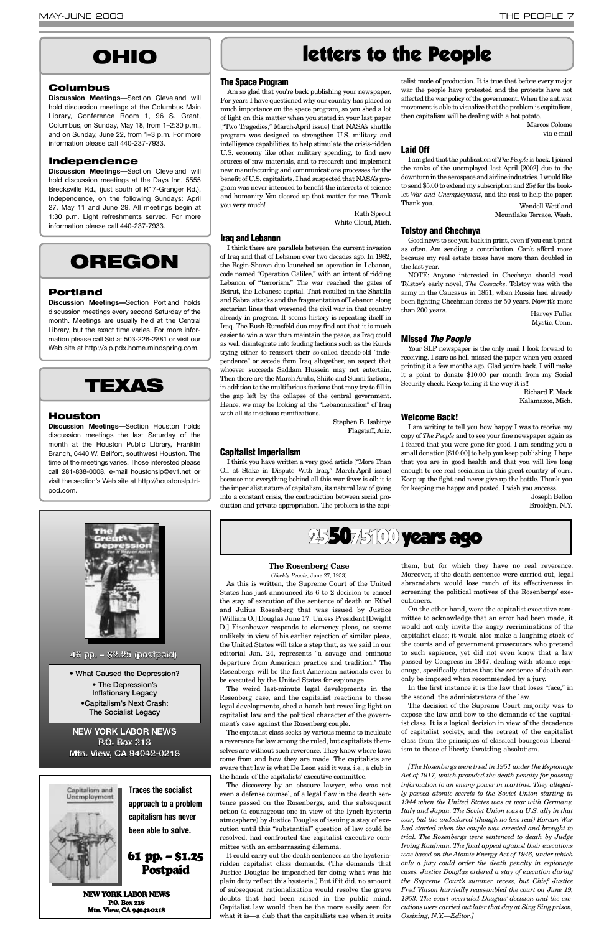#### **The Space Program**

Am so glad that you're back publishing your newspaper. For years I have questioned why our country has placed so much importance on the space program, so you shed a lot of light on this matter when you stated in your last paper ["Two Tragedies," March-April issue] that NASA's shuttle program was designed to strengthen U.S. military and intelligence capabilities, to help stimulate the crisis-ridden U.S. economy like other military spending, to find new sources of raw materials, and to research and implement new manufacturing and communications processes for the benefit of U.S. capitalists. I had suspected that NASA's program was never intended to benefit the interests of science and humanity. You cleared up that matter for me. Thank you very much!

> Ruth Sprout White Cloud, Mich.

#### **Iraq and Lebanon**

I think there are parallels between the current invasion of Iraq and that of Lebanon over two decades ago. In 1982, the Begin-Sharon duo launched an operation in Lebanon, code named "Operation Galilee," with an intent of ridding Lebanon of "terrorism." The war reached the gates of Beirut, the Lebanese capital. That resulted in the Shatilla and Sabra attacks and the fragmentation of Lebanon along sectarian lines that worsened the civil war in that country already in progress. It seems history is repeating itself in Iraq. The Bush-Rumsfeld duo may find out that it is much easier to win a war than maintain the peace, as Iraq could as well disintegrate into feuding factions such as the Kurds trying either to reassert their so-called decade-old "independence" or secede from Iraq altogether, an aspect that whoever succeeds Saddam Hussein may not entertain. Then there are the Marsh Arabs, Shiite and Sunni factions, in addition to the multifarious factions that may try to fill in the gap left by the collapse of the central government. Hence, we may be looking at the "Lebanonization" of Iraq with all its insidious ramifications.

Stephen B. Isabirye Flagstaff, Ariz.

#### **Capitalist Imperialism**

I think you have written a very good article ["More Than Oil at Stake in Dispute With Iraq," March-April issue] because not everything behind all this war fever is oil: it is the imperialist nature of capitalism, its natural law of going into a constant crisis, the contradiction between social production and private appropriation. The problem is the capitalist mode of production. It is true that before every major war the people have protested and the protests have not affected the war policy of the government. When the antiwar movement is able to visualize that the problem is capitalism, then capitalism will be dealing with a hot potato.

> Marcos Colome via e-mail

#### **Laid Off**

I am glad that the publication of *The People* is back. I joined the ranks of the unemployed last April [2002] due to the downturn in the aerospace and airline industries. I would like to send \$5.00 to extend my subscription and 25¢ for the booklet *War and Unemployment*, and the rest to help the paper. Thank you. Wendell Wettland

Mountlake Terrace, Wash.

#### **Tolstoy and Chechnya**

Good news to see you back in print, even if you can't print as often. Am sending a contribution. Can't afford more because my real estate taxes have more than doubled in the last year.

NOTE: Anyone interested in Chechnya should read Tolstoy's early novel, *The Cossacks*. Tolstoy was with the army in the Caucasus in 1851, when Russia had already been fighting Chechnian forces for 50 years. Now it's more than 200 years. Harvey Fuller

Mystic, Conn.

#### **Missed** *The People*

Your SLP newspaper is the only mail I look forward to receiving. I sure as hell missed the paper when you ceased printing it a few months ago. Glad you're back. I will make it a point to donate \$10.00 per month from my Social Security check. Keep telling it the way it is!!

Richard F. Mack Kalamazoo, Mich.

#### **Welcome Back!**

I am writing to tell you how happy I was to receive my copy of *The People* and to see your fine newspaper again as I feared that you were gone for good. I am sending you a small donation [\$10.00] to help you keep publishing. I hope that you are in good health and that you will live long enough to see real socialism in this great country of ours. Keep up the fight and never give up the battle. Thank you for keeping me happy and posted. I wish you success.

> Joseph Bellon Brooklyn, N.Y.

### **OHIO** letters to the People

#### **Columbus**

**Discussion Meetings—**Section Cleveland will hold discussion meetings at the Columbus Main Library, Conference Room 1, 96 S. Grant, Columbus, on Sunday, May 18, from 1–2:30 p.m., and on Sunday, June 22, from 1–3 p.m. For more information please call 440-237-7933.

#### **Independence**

**Discussion Meetings—**Section Cleveland will hold discussion meetings at the Days Inn, 5555 Brecksville Rd., (just south of R17-Granger Rd.), Independence, on the following Sundays: April 27, May 11 and June 29. All meetings begin at 1:30 p.m. Light refreshments served. For more information please call 440-237-7933.

### **OREGON**

#### **Portland**

**Discussion Meetings—**Section Portland holds discussion meetings every second Saturday of the month. Meetings are usually held at the Central Library, but the exact time varies. For more information please call Sid at 503-226-2881 or visit our Web site at http://slp.pdx.home.mindspring.com.

### **TEXAS**

#### **Houston**

**Discussion Meetings—**Section Houston holds discussion meetings the last Saturday of the month at the Houston Public LIbrary, Franklin Branch, 6440 W. Bellfort, southwest Houston. The time of the meetings varies. Those interested please call 281-838-0008, e-mail houstonslp@ev1.net or visit the section's Web site at http://houstonslp.tripod.com.



**• What Caused the Depression? • The Depression's Inflationary Legacy**

**•Capitalism's Next Crash: The Socialist Legacy**

**48 pp. – \$2.25 (postpaid)**

**NEW YORK LABOR NEWS P.O. Box 218 Mtn. View, CA 94042-0218**



NEW YORK LABOR NEWS P.O. Box 218 Mtn. View, CA 94042-0218

**Traces the socialist approach to a problem capitalism has never been able to solve.**

61 pp. – \$1.25 Postpaid

#### **The Rosenberg Case**

(*Weekly People*, June 27, 1953)

As this is written, the Supreme Court of the United States has just announced its 6 to 2 decision to cancel the stay of execution of the sentence of death on Ethel and Julius Rosenberg that was issued by Justice [William O.] Douglas June 17. Unless President [Dwight D.] Eisenhower responds to clemency pleas, as seems unlikely in view of his earlier rejection of similar pleas, the United States will take a step that, as we said in our editorial Jan. 24, represents "a savage and ominous departure from American practice and tradition." The Rosenbergs will be the first American nationals ever to be executed by the United States for espionage.

The weird last-minute legal developments in the Rosenberg case, and the capitalist reactions to these legal developments, shed a harsh but revealing light on capitalist law and the political character of the government's case against the Rosenberg couple.

The capitalist class seeks by various means to inculcate a reverence for law among the ruled, but capitalists themselves are without such reverence. They know where laws come from and how they are made. The capitalists are aware that law is what De Leon said it was, i.e., a club in the hands of the capitalists' executive committee.

The discovery by an obscure lawyer, who was not even a defense counsel, of a legal flaw in the death sentence passed on the Rosenbergs, and the subsequent action (a courageous one in view of the lynch-hysteria atmosphere) by Justice Douglas of issuing a stay of execution until this "substantial" question of law could be resolved, had confronted the capitalist executive committee with an embarrassing dilemma.

It could carry out the death sentences as the hysteriaridden capitalist class demands. (The demands that Justice Douglas be impeached for doing what was his plain duty reflect this hysteria.) But if it did, no amount of subsequent rationalization would resolve the grave doubts that had been raised in the public mind. Capitalist law would then be the more easily seen for what it is—a club that the capitalists use when it suits them, but for which they have no real reverence. Moreover, if the death sentence were carried out, legal abracadabra would lose much of its effectiveness in screening the political motives of the Rosenbergs' executioners.

On the other hand, were the capitalist executive committee to acknowledge that an error had been made, it would not only invite the angry recriminations of the capitalist class; it would also make a laughing stock of the courts and of government prosecutors who pretend to such sapience, yet did not even know that a law passed by Congress in 1947, dealing with atomic espionage, specifically states that the sentence of death can only be imposed when recommended by a jury.

In the first instance it is the law that loses "face," in the second, the administrators of the law.

The decision of the Supreme Court majority was to expose the law and bow to the demands of the capitalist class. It is a logical decision in view of the decadence of capitalist society, and the retreat of the capitalist class from the principles of classical bourgeois liberalism to those of liberty-throttling absolutism.

*[The Rosenbergs were tried in 1951 under the Espionage Act of 1917, which provided the death penalty for passing information to an enemy power in wartime. They allegedly passed atomic secrets to the Soviet Union starting in 1944 when the United States was at war with Germany, Italy and Japan. The Soviet Union was a U.S. ally in that war, but the undeclared (though no less real) Korean War had started when the couple was arrested and brought to trial. The Rosenbergs were sentenced to death by Judge Irving Kaufman. The final appeal against their executions was based on the Atomic Energy Act of 1946, under which only a jury could order the death penalty in espionage cases. Justice Douglas ordered a stay of execution during the Supreme Court's summer recess, but Chief Justice Fred Vinson hurriedly reassembled the court on June 19, 1953. The court overruled Douglas' decision and the executions were carried out later that day at Sing Sing prison, Ossining, N.Y.—Editor.]*